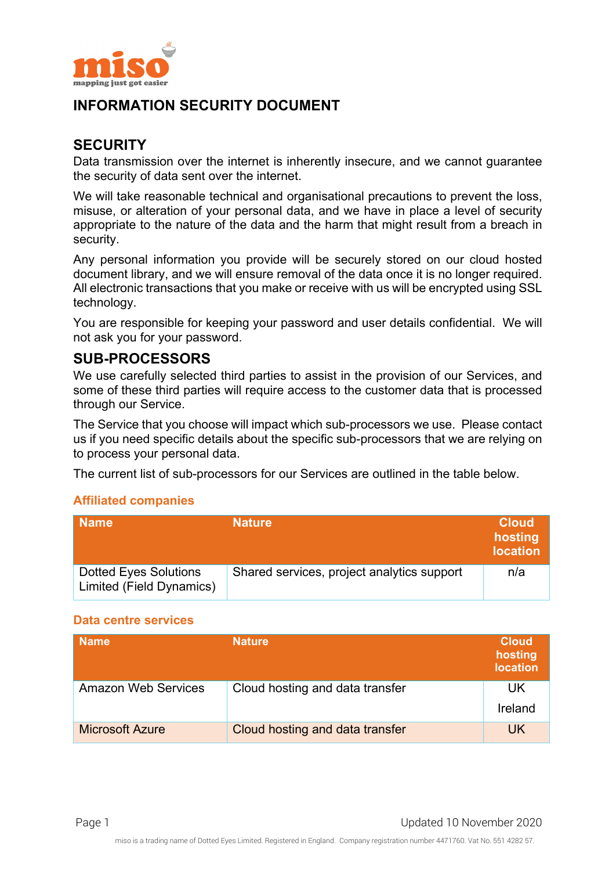

# **INFORMATION SECURITY DOCUMENT**

## **SECURITY**

Data transmission over the internet is inherently insecure, and we cannot guarantee the security of data sent over the internet.

We will take reasonable technical and organisational precautions to prevent the loss, misuse, or alteration of your personal data, and we have in place a level of security appropriate to the nature of the data and the harm that might result from a breach in security.

Any personal information you provide will be securely stored on our cloud hosted document library, and we will ensure removal of the data once it is no longer required. All electronic transactions that you make or receive with us will be encrypted using SSL technology.

You are responsible for keeping your password and user details confidential. We will not ask you for your password.

## **SUB-PROCESSORS**

We use carefully selected third parties to assist in the provision of our Services, and some of these third parties will require access to the customer data that is processed through our Service.

The Service that you choose will impact which sub-processors we use. Please contact us if you need specific details about the specific sub-processors that we are relying on to process your personal data.

The current list of sub-processors for our Services are outlined in the table below.

### **Affiliated companies**

| <b>Name</b>                                              | <b>Nature</b>                              | <b>Cloud</b><br>hosting<br><b>location</b> |
|----------------------------------------------------------|--------------------------------------------|--------------------------------------------|
| <b>Dotted Eyes Solutions</b><br>Limited (Field Dynamics) | Shared services, project analytics support | n/a                                        |

#### **Data centre services**

| <b>Name</b>                | <b>Nature</b>                   | <b>Cloud</b><br>hosting<br><b>location</b> |
|----------------------------|---------------------------------|--------------------------------------------|
| <b>Amazon Web Services</b> | Cloud hosting and data transfer | UK<br>Ireland                              |
| <b>Microsoft Azure</b>     | Cloud hosting and data transfer | UK                                         |